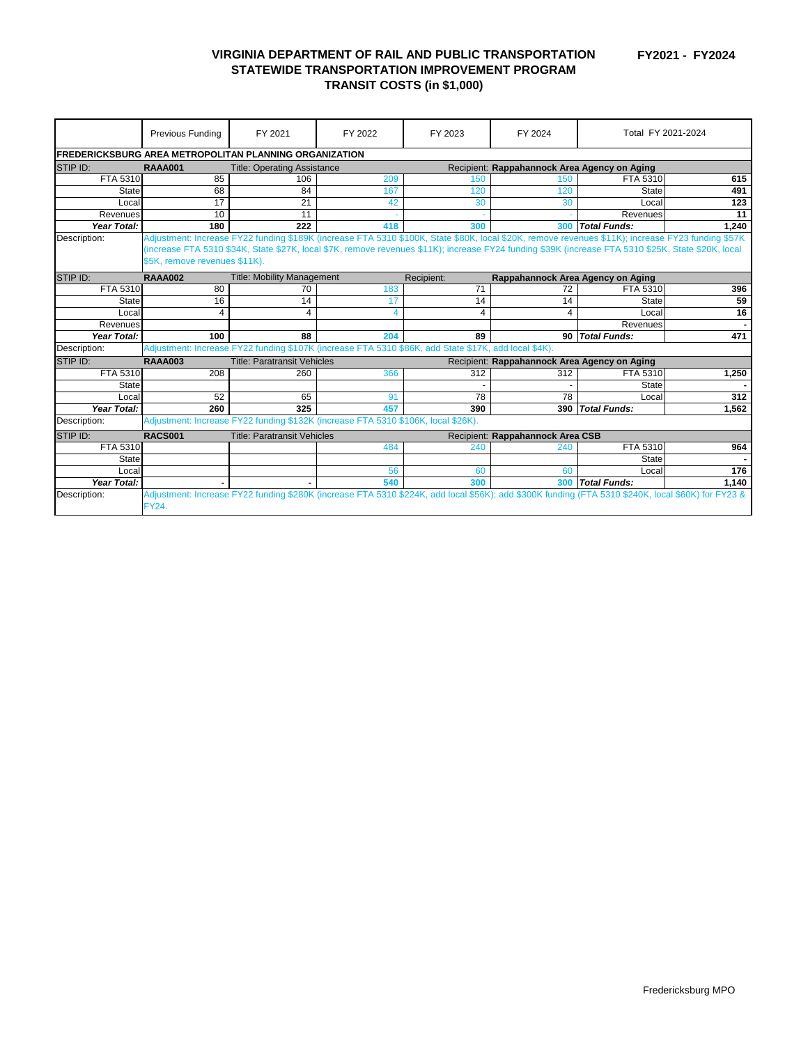**FY2021 - FY2024**

## **VIRGINIA DEPARTMENT OF RAIL AND PUBLIC TRANSPORTATION STATEWIDE TRANSPORTATION IMPROVEMENT PROGRAM TRANSIT COSTS (in \$1,000)**

|                                                               | Previous Funding                                                                                                                                    | FY 2021                                                                                              | FY 2022                 | FY 2023 | FY 2024                                      | Total FY 2021-2024                                                                                                                                 |       |
|---------------------------------------------------------------|-----------------------------------------------------------------------------------------------------------------------------------------------------|------------------------------------------------------------------------------------------------------|-------------------------|---------|----------------------------------------------|----------------------------------------------------------------------------------------------------------------------------------------------------|-------|
| <b>FREDERICKSBURG AREA METROPOLITAN PLANNING ORGANIZATION</b> |                                                                                                                                                     |                                                                                                      |                         |         |                                              |                                                                                                                                                    |       |
| <b>STIP ID:</b>                                               | <b>RAAA001</b>                                                                                                                                      | <b>Title: Operating Assistance</b>                                                                   |                         |         | Recipient: Rappahannock Area Agency on Aging |                                                                                                                                                    |       |
| FTA 5310                                                      | 85                                                                                                                                                  | 106                                                                                                  | 209                     | 150     | 150                                          | FTA 5310                                                                                                                                           | 615   |
| <b>State</b>                                                  | 68                                                                                                                                                  | 84                                                                                                   | 167                     | 120     | 120                                          | <b>State</b>                                                                                                                                       | 491   |
| Local                                                         | 17                                                                                                                                                  | 21                                                                                                   | 42                      | 30      | 30                                           | Local                                                                                                                                              | 123   |
| Revenues                                                      | 10                                                                                                                                                  | 11                                                                                                   |                         |         |                                              | Revenues                                                                                                                                           | 11    |
| Year Total:                                                   | 180                                                                                                                                                 | 222                                                                                                  | 418                     | 300     | <b>300</b>                                   | <b>Total Funds:</b>                                                                                                                                | 1,240 |
| Description:                                                  |                                                                                                                                                     |                                                                                                      |                         |         |                                              | Adjustment: Increase FY22 funding \$189K (increase FTA 5310 \$100K, State \$80K, local \$20K, remove revenues \$11K); increase FY23 funding \$57K  |       |
|                                                               | (increase FTA 5310 \$34K, State \$27K, local \$7K, remove revenues \$11K); increase FY24 funding \$39K (increase FTA 5310 \$25K, State \$20K, local |                                                                                                      |                         |         |                                              |                                                                                                                                                    |       |
|                                                               | \$5K, remove revenues \$11K).                                                                                                                       |                                                                                                      |                         |         |                                              |                                                                                                                                                    |       |
| STIP ID:                                                      | <b>RAAA002</b>                                                                                                                                      | <b>Title: Mobility Management</b><br>Recipient:<br>Rappahannock Area Agency on Aging                 |                         |         |                                              |                                                                                                                                                    |       |
| FTA 5310                                                      | 80                                                                                                                                                  | 70                                                                                                   | 183                     | 71      | 72                                           | FTA 5310                                                                                                                                           | 396   |
| <b>State</b>                                                  | 16                                                                                                                                                  | 14                                                                                                   | 17                      | 14      | 14                                           | <b>State</b>                                                                                                                                       | 59    |
| Local                                                         | 4                                                                                                                                                   | 4                                                                                                    | $\overline{\mathbf{4}}$ | 4       | 4                                            | Local                                                                                                                                              | 16    |
| Revenues                                                      |                                                                                                                                                     |                                                                                                      |                         |         |                                              | Revenues                                                                                                                                           |       |
| <b>Year Total:</b>                                            | 100                                                                                                                                                 | 88                                                                                                   | 204                     | 89      |                                              | 90 Total Funds:                                                                                                                                    | 471   |
| Description:                                                  |                                                                                                                                                     | Adjustment: Increase FY22 funding \$107K (increase FTA 5310 \$86K, add State \$17K, add local \$4K). |                         |         |                                              |                                                                                                                                                    |       |
| <b>STIP ID:</b>                                               | <b>Title: Paratransit Vehicles</b><br><b>RAAA003</b><br>Recipient: Rappahannock Area Agency on Aging                                                |                                                                                                      |                         |         |                                              |                                                                                                                                                    |       |
| FTA 5310                                                      | 208                                                                                                                                                 | 260                                                                                                  | 366                     | 312     | 312                                          | FTA 5310                                                                                                                                           | 1,250 |
| <b>State</b>                                                  |                                                                                                                                                     |                                                                                                      |                         |         |                                              | <b>State</b>                                                                                                                                       |       |
| Local                                                         | 52                                                                                                                                                  | 65                                                                                                   | 91                      | 78      | 78                                           | Local                                                                                                                                              | 312   |
| Year Total:                                                   | 260                                                                                                                                                 | 325                                                                                                  | 457                     | 390     | 390                                          | <b>Total Funds:</b>                                                                                                                                | 1,562 |
| Description:                                                  |                                                                                                                                                     | Adjustment: Increase FY22 funding \$132K (increase FTA 5310 \$106K, local \$26K).                    |                         |         |                                              |                                                                                                                                                    |       |
| <b>STIP ID:</b>                                               | <b>RACS001</b>                                                                                                                                      | <b>Title: Paratransit Vehicles</b><br>Recipient: Rappahannock Area CSB                               |                         |         |                                              |                                                                                                                                                    |       |
| FTA 5310                                                      |                                                                                                                                                     |                                                                                                      | 484                     | 240     | 240                                          | FTA 5310                                                                                                                                           | 964   |
| <b>State</b>                                                  |                                                                                                                                                     |                                                                                                      |                         |         |                                              | <b>State</b>                                                                                                                                       |       |
| Local                                                         |                                                                                                                                                     |                                                                                                      | 56                      | 60      | 60                                           | Local                                                                                                                                              | 176   |
| <b>Year Total:</b>                                            |                                                                                                                                                     |                                                                                                      | 540                     | 300     | 300                                          | <b>Total Funds:</b>                                                                                                                                | 1,140 |
| Description:                                                  |                                                                                                                                                     |                                                                                                      |                         |         |                                              | Adjustment: Increase FY22 funding \$280K (increase FTA 5310 \$224K, add local \$56K); add \$300K funding (FTA 5310 \$240K, local \$60K) for FY23 & |       |
|                                                               | <b>FY24.</b>                                                                                                                                        |                                                                                                      |                         |         |                                              |                                                                                                                                                    |       |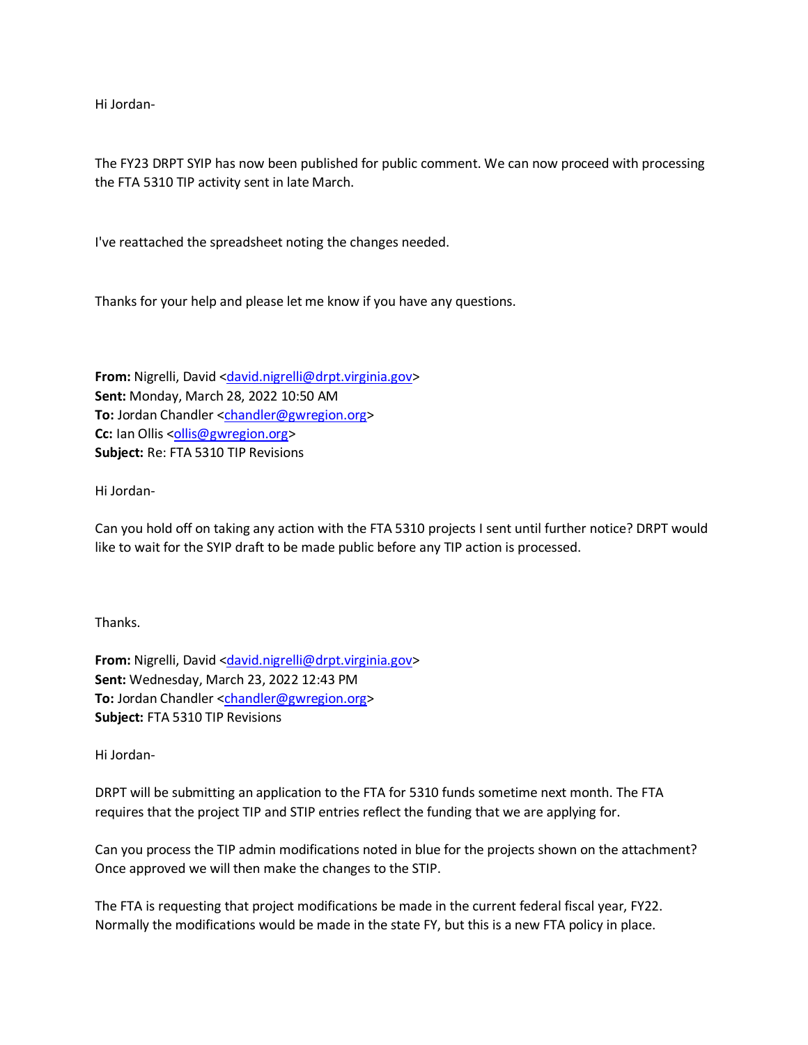Hi Jordan-

The FY23 DRPT SYIP has now been published for public comment. We can now proceed with processing the FTA 5310 TIP activity sent in late March.

I've reattached the spreadsheet noting the changes needed.

Thanks for your help and please let me know if you have any questions.

**From:** Nigrelli, David [<david.nigrelli@drpt.virginia.gov>](mailto:david.nigrelli@drpt.virginia.gov) **Sent:** Monday, March 28, 2022 10:50 AM **To:** Jordan Chandler [<chandler@gwregion.org>](mailto:chandler@gwregion.org) **Cc:** Ian Ollis [<ollis@gwregion.org>](mailto:ollis@gwregion.org) **Subject:** Re: FTA 5310 TIP Revisions

Hi Jordan-

Can you hold off on taking any action with the FTA 5310 projects I sent until further notice? DRPT would like to wait for the SYIP draft to be made public before any TIP action is processed.

Thanks.

From: Nigrelli, David [<david.nigrelli@drpt.virginia.gov>](mailto:david.nigrelli@drpt.virginia.gov) **Sent:** Wednesday, March 23, 2022 12:43 PM **To:** Jordan Chandler [<chandler@gwregion.org>](mailto:chandler@gwregion.org) **Subject:** FTA 5310 TIP Revisions

Hi Jordan-

DRPT will be submitting an application to the FTA for 5310 funds sometime next month. The FTA requires that the project TIP and STIP entries reflect the funding that we are applying for.

Can you process the TIP admin modifications noted in blue for the projects shown on the attachment? Once approved we will then make the changes to the STIP.

The FTA is requesting that project modifications be made in the current federal fiscal year, FY22. Normally the modifications would be made in the state FY, but this is a new FTA policy in place.